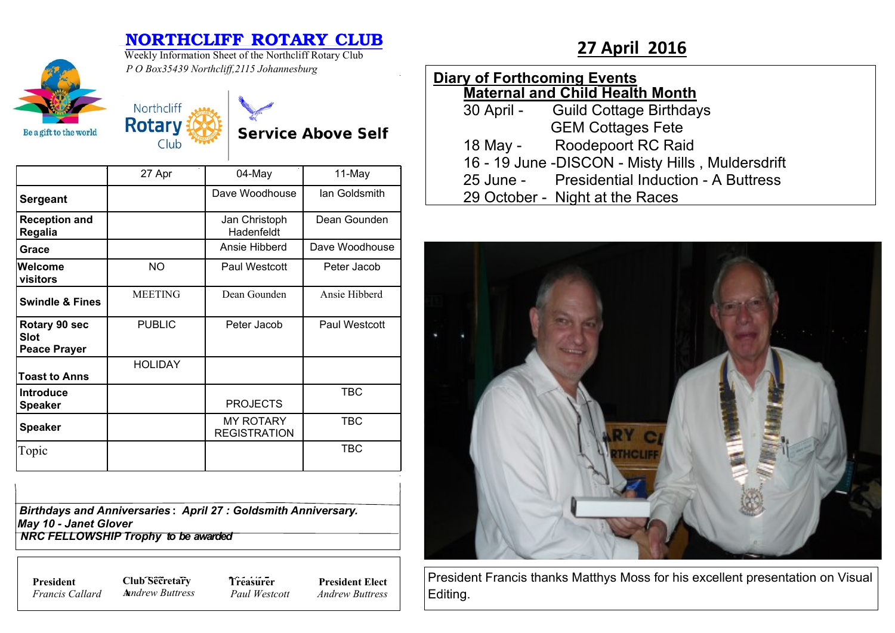## **NORTHCLIFF ROTARY CLUB**<br>Weekly Information Sheet of the Northcliff Rotary Club<br>**27 April 2016**



Weekly Information Sheet of the Northcliff Rotary Club *P O Box35439 Northcliff,2115 Johannesburg*

| <b>Diary of Forthcoming Events</b>     |                                                  |  |  |  |  |  |  |
|----------------------------------------|--------------------------------------------------|--|--|--|--|--|--|
| <b>Maternal and Child Health Month</b> |                                                  |  |  |  |  |  |  |
|                                        | 30 April - Guild Cottage Birthdays               |  |  |  |  |  |  |
|                                        | <b>GEM Cottages Fete</b>                         |  |  |  |  |  |  |
|                                        | 18 May - Roodepoort RC Raid                      |  |  |  |  |  |  |
|                                        | 16 - 19 June -DISCON - Misty Hills, Muldersdrift |  |  |  |  |  |  |
|                                        | 25 June - Presidential Induction - A Buttress    |  |  |  |  |  |  |
|                                        | 29 October - Night at the Races                  |  |  |  |  |  |  |
|                                        |                                                  |  |  |  |  |  |  |



President Francis thanks Matthys Moss for his excellent presentation on Visual Editing.

| Northcliff |  |
|------------|--|
| Rotary     |  |
| Club       |  |
|            |  |

**Service Above Self** 

|                                                     | 27 Apr         | 04-May                                  | 11-May         |
|-----------------------------------------------------|----------------|-----------------------------------------|----------------|
| <b>Sergeant</b>                                     |                | Dave Woodhouse                          | lan Goldsmith  |
| <b>Reception and</b><br>Regalia                     |                | Jan Christoph<br>Hadenfeldt             | Dean Gounden   |
| Grace                                               |                | Ansie Hibberd                           | Dave Woodhouse |
| Welcome<br>visitors                                 | NO.            | Paul Westcott                           | Peter Jacob    |
| <b>Swindle &amp; Fines</b>                          | <b>MEETING</b> | Dean Gounden                            | Ansie Hibberd  |
| Rotary 90 sec<br><b>Slot</b><br><b>Peace Prayer</b> | <b>PUBLIC</b>  | Peter Jacob                             | Paul Westcott  |
| <b>Toast to Anns</b>                                | <b>HOLIDAY</b> |                                         |                |
| <b>Introduce</b><br><b>Speaker</b>                  |                | <b>PROJECTS</b>                         | TBC            |
| <b>Speaker</b>                                      |                | <b>MY ROTARY</b><br><b>REGISTRATION</b> | <b>TBC</b>     |
| Topic                                               |                |                                         | <b>TBC</b>     |

| <b>Birthdays and Anniversaries: April 27: Goldsmith Anniversary.</b> |  |
|----------------------------------------------------------------------|--|
| May 10 - Janet Glover                                                |  |
| NRC FELLOWSHIP Trophy to be awarded                                  |  |

*Francis Callard*

**President Club Secretary 7** *Treasure* **A***nndrew Buttress*

**Treasurer** *Paul Westcott* **President Elect** *Andrew Buttress*